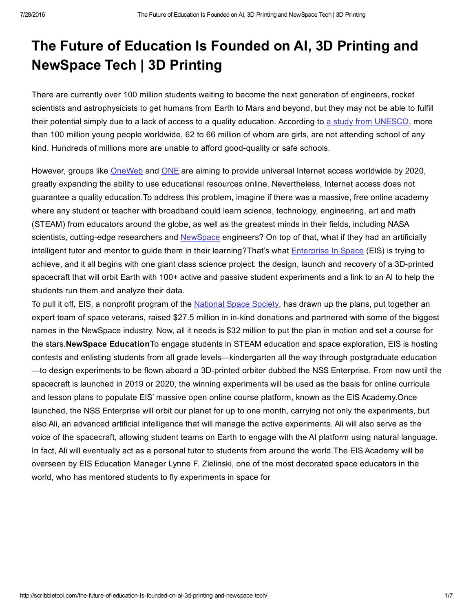## The Future of Education Is Founded on AI, 3D Printing and NewSpace Tech | 3D Printing

There are currently over 100 million students waiting to become the next generation of engineers, rocket scientists and astrophysicists to get humans from Earth to Mars and beyond, but they may not be able to fulfill their potential simply due to a lack of access to a quality education. According to a study from [UNESCO](http://www.uis.unesco.org/Education/Pages/out-of-school-children.aspx), more than 100 million young people worldwide, 62 to 66 million of whom are girls, are not attending school of any kind. Hundreds of millions more are unable to afford good-quality or safe schools.

However, groups like [OneWeb](http://oneweb.world/need) and [ONE](https://www.one.org/us/2015/09/26/the-connectivity-declaration-demanding-internet-access-for-all-and-implementation-of-the-global-goals/) are aiming to provide universal Internet access worldwide by 2020, greatly expanding the ability to use educational resources online. Nevertheless, Internet access does not guarantee a quality education.To address this problem, imagine if there was a massive, free online academy where any student or teacher with broadband could learn science, technology, engineering, art and math (STEAM) from educators around the globe, as well as the greatest minds in their fields, including NASA scientists, cutting-edge researchers and [NewSpace](http://arstechnica.com/science/2014/11/firefly-space-systems-charges-full-speed-toward-low-earth-orbit/) engineers? On top of that, what if they had an artificially intelligent tutor and mentor to guide them in their learning?That's what [Enterprise](http://enterpriseinspace.org/) In Space (EIS) is trying to achieve, and it all begins with one giant class science project: the design, launch and recovery of a 3D-printed spacecraft that will orbit Earth with 100+ active and passive student experiments and a link to an AI to help the students run them and analyze their data.

To pull it off, EIS, a nonprofit program of the [National](http://nss.org/) Space Society, has drawn up the plans, put together an expert team of space veterans, raised \$27.5 million in in-kind donations and partnered with some of the biggest names in the NewSpace industry. Now, all it needs is \$32 million to put the plan in motion and set a course for the stars.NewSpace EducationTo engage students in STEAM education and space exploration, EIS is hosting contests and enlisting students from all grade levels—kindergarten all the way through postgraduate education —to design experiments to be flown aboard a 3D-printed orbiter dubbed the NSS Enterprise. From now until the spacecraft is launched in 2019 or 2020, the winning experiments will be used as the basis for online curricula and lesson plans to populate EIS' massive open online course platform, known as the EIS Academy.Once launched, the NSS Enterprise will orbit our planet for up to one month, carrying not only the experiments, but also Ali, an advanced artificial intelligence that will manage the active experiments. Ali will also serve as the voice of the spacecraft, allowing student teams on Earth to engage with the AI platform using natural language. In fact, Ali will eventually act as a personal tutor to students from around the world.The EIS Academy will be overseen by EIS Education Manager Lynne F. Zielinski, one of the most decorated space educators in the world, who has mentored students to fly experiments in space for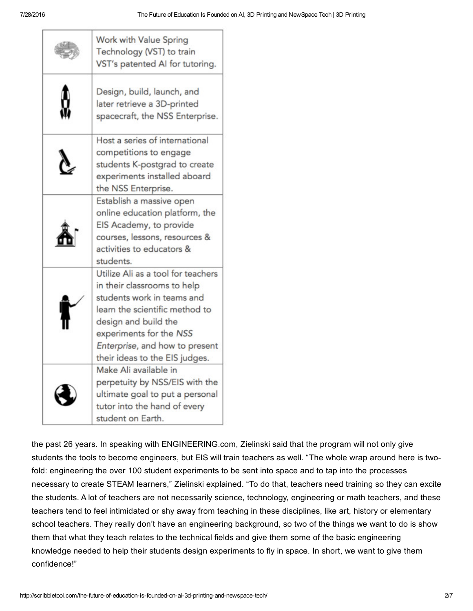| Work with Value Spring<br>Technology (VST) to train<br>VST's patented AI for tutoring.                                                                                                                                                                   |
|----------------------------------------------------------------------------------------------------------------------------------------------------------------------------------------------------------------------------------------------------------|
| Design, build, launch, and<br>later retrieve a 3D-printed<br>spacecraft, the NSS Enterprise.                                                                                                                                                             |
| Host a series of international<br>competitions to engage<br>students K-postgrad to create<br>experiments installed aboard<br>the NSS Enterprise.                                                                                                         |
| Establish a massive open<br>online education platform, the<br>EIS Academy, to provide<br>courses, lessons, resources &<br>activities to educators &<br>students.                                                                                         |
| Utilize Ali as a tool for teachers<br>in their classrooms to help<br>students work in teams and<br>learn the scientific method to<br>design and build the<br>experiments for the NSS<br>Enterprise, and how to present<br>their ideas to the EIS judges. |
| Make Ali available in<br>perpetuity by NSS/EIS with the<br>ultimate goal to put a personal<br>tutor into the hand of every<br>student on Earth.                                                                                                          |

the past 26 years. In speaking with ENGINEERING.com, Zielinski said that the program will not only give students the tools to become engineers, but EIS will train teachers as well. "The whole wrap around here is twofold: engineering the over 100 student experiments to be sent into space and to tap into the processes necessary to create STEAM learners," Zielinski explained. "To do that, teachers need training so they can excite the students. A lot of teachers are not necessarily science, technology, engineering or math teachers, and these teachers tend to feel intimidated or shy away from teaching in these disciplines, like art, history or elementary school teachers. They really don't have an engineering background, so two of the things we want to do is show them that what they teach relates to the technical fields and give them some of the basic engineering knowledge needed to help their students design experiments to fly in space. In short, we want to give them confidence!"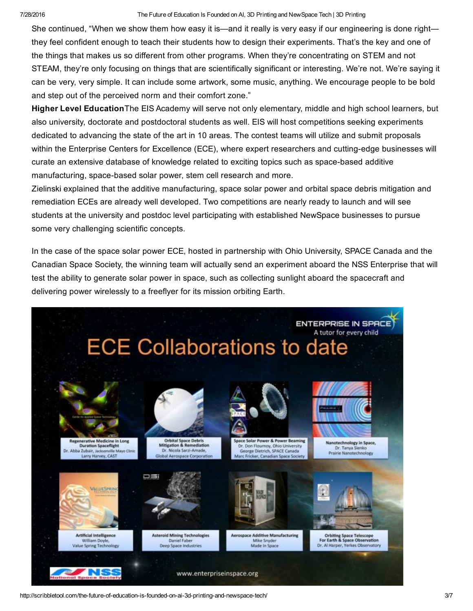## 7/28/2016 The Future of Education Is Founded on AI, 3D Printing and NewSpace Tech | 3D Printing

She continued, "When we show them how easy it is—and it really is very easy if our engineering is done right they feel confident enough to teach their students how to design their experiments. That's the key and one of the things that makes us so different from other programs. When they're concentrating on STEM and not STEAM, they're only focusing on things that are scientifically significant or interesting. We're not. We're saying it can be very, very simple. It can include some artwork, some music, anything. We encourage people to be bold and step out of the perceived norm and their comfort zone."

Higher Level Education The EIS Academy will serve not only elementary, middle and high school learners, but also university, doctorate and postdoctoral students as well. EIS will host competitions seeking experiments dedicated to advancing the state of the art in 10 areas. The contest teams will utilize and submit proposals within the Enterprise Centers for Excellence (ECE), where expert researchers and cutting-edge businesses will curate an extensive database of knowledge related to exciting topics such as space-based additive manufacturing, space-based solar power, stem cell research and more.

Zielinski explained that the additive manufacturing, space solar power and orbital space debris mitigation and remediation ECEs are already well developed. Two competitions are nearly ready to launch and will see students at the university and postdoc level participating with established NewSpace businesses to pursue some very challenging scientific concepts.

In the case of the space solar power ECE, hosted in partnership with Ohio University, SPACE Canada and the Canadian Space Society, the winning team will actually send an experiment aboard the NSS Enterprise that will test the ability to generate solar power in space, such as collecting sunlight aboard the spacecraft and delivering power wirelessly to a freeflyer for its mission orbiting Earth.

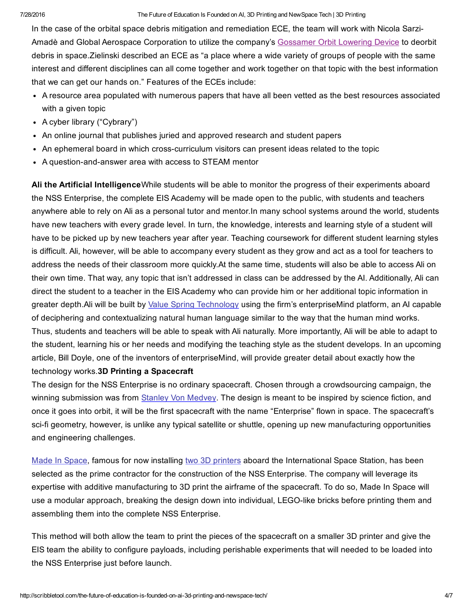In the case of the orbital space debris mitigation and remediation ECE, the team will work with Nicola Sarzi-Amadè and Global Aerospace Corporation to utilize the company's [Gossamer](http://www.gaerospace.com/aeroassist/gossamer-orbit-lowering-device-gold-for-low-risk-satellite-de-orbit/) Orbit Lowering Device to deorbit debris in space.Zielinski described an ECE as "a place where a wide variety of groups of people with the same interest and different disciplines can all come together and work together on that topic with the best information that we can get our hands on." Features of the ECEs include:

- A resource area populated with numerous papers that have all been vetted as the best resources associated with a given topic
- A cyber library ("Cybrary")
- An online journal that publishes juried and approved research and student papers
- An ephemeral board in which crosscurriculum visitors can present ideas related to the topic
- A question-and-answer area with access to STEAM mentor

Ali the Artificial IntelligenceWhile students will be able to monitor the progress of their experiments aboard the NSS Enterprise, the complete EIS Academy will be made open to the public, with students and teachers anywhere able to rely on Ali as a personal tutor and mentor.In many school systems around the world, students have new teachers with every grade level. In turn, the knowledge, interests and learning style of a student will have to be picked up by new teachers year after year. Teaching coursework for different student learning styles is difficult. Ali, however, will be able to accompany every student as they grow and act as a tool for teachers to address the needs of their classroom more quickly.At the same time, students will also be able to access Ali on their own time. That way, any topic that isn't addressed in class can be addressed by the AI. Additionally, Ali can direct the student to a teacher in the EIS Academy who can provide him or her additional topic information in greater depth.Ali will be built by Value Spring [Technology](http://www.thevaluespring.com/) using the firm's enterpriseMind platform, an AI capable of deciphering and contextualizing natural human language similar to the way that the human mind works. Thus, students and teachers will be able to speak with Ali naturally. More importantly, Ali will be able to adapt to the student, learning his or her needs and modifying the teaching style as the student develops. In an upcoming article, Bill Doyle, one of the inventors of enterpriseMind, will provide greater detail about exactly how the technology works.3D Printing a Spacecraft

The design for the NSS Enterprise is no ordinary spacecraft. Chosen through a crowdsourcing campaign, the winning submission was from Stanley Von [Medvey](http://www.stanleyvonmedvey.com/). The design is meant to be inspired by science fiction, and once it goes into orbit, it will be the first spacecraft with the name "Enterprise" flown in space. The spacecraft's sci-fi geometry, however, is unlike any typical satellite or shuttle, opening up new manufacturing opportunities and engineering challenges.

Made In [Space](http://madeinspace.us/), famous for now installing two 3D [printers](http://www.engineering.com/3DPrinting/3DPrintingArticles/ArticleID/12114/First-Commercial-3D-Printer-Successfully-Installed-on-ISS.aspx) aboard the International Space Station, has been selected as the prime contractor for the construction of the NSS Enterprise*.* The company will leverage its expertise with additive manufacturing to 3D print the airframe of the spacecraft. To do so, Made In Space will use a modular approach, breaking the design down into individual, LEGO-like bricks before printing them and assembling them into the complete NSS Enterprise.

This method will both allow the team to print the pieces of the spacecraft on a smaller 3D printer and give the EIS team the ability to configure payloads, including perishable experiments that will needed to be loaded into the NSS Enterprise just before launch.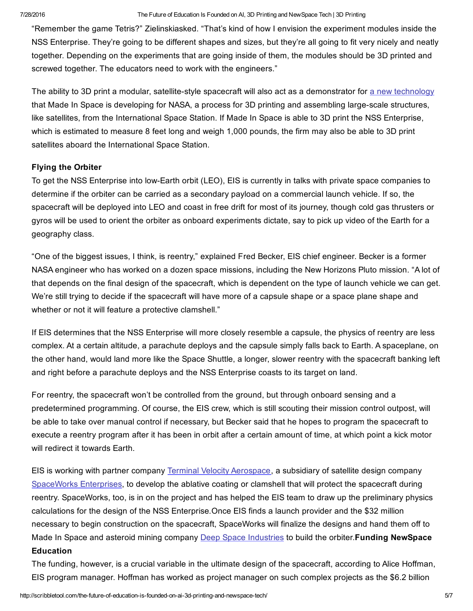## 7/28/2016 The Future of Education Is Founded on AI, 3D Printing and NewSpace Tech | 3D Printing

"Remember the game Tetris?" Zielinskiasked. "That's kind of how I envision the experiment modules inside the NSS Enterprise. They're going to be different shapes and sizes, but they're all going to fit very nicely and neatly together. Depending on the experiments that are going inside of them, the modules should be 3D printed and screwed together. The educators need to work with the engineers."

The ability to 3D print a modular, satellite-style spacecraft will also act as a demonstrator for a new [technology](http://3dprintingindustry.com/news/62367-62367/) that Made In Space is developing for NASA, a process for 3D printing and assembling large-scale structures, like satellites, from the International Space Station. If Made In Space is able to 3D print the NSS Enterprise, which is estimated to measure 8 feet long and weigh 1,000 pounds, the firm may also be able to 3D print satellites aboard the International Space Station.

## Flying the Orbiter

To get the NSS Enterprise into low-Earth orbit (LEO), EIS is currently in talks with private space companies to determine if the orbiter can be carried as a secondary payload on a commercial launch vehicle. If so, the spacecraft will be deployed into LEO and coast in free drift for most of its journey, though cold gas thrusters or gyros will be used to orient the orbiter as onboard experiments dictate, say to pick up video of the Earth for a geography class.

"One of the biggest issues, I think, is reentry," explained Fred Becker, EIS chief engineer. Becker is a former NASA engineer who has worked on a dozen space missions, including the New Horizons Pluto mission. "A lot of that depends on the final design of the spacecraft, which is dependent on the type of launch vehicle we can get. We're still trying to decide if the spacecraft will have more of a capsule shape or a space plane shape and whether or not it will feature a protective clamshell."

If EIS determines that the NSS Enterprise will more closely resemble a capsule, the physics of reentry are less complex. At a certain altitude, a parachute deploys and the capsule simply falls back to Earth. A spaceplane, on the other hand, would land more like the Space Shuttle, a longer, slower reentry with the spacecraft banking left and right before a parachute deploys and the NSS Enterprise coasts to its target on land.

For reentry, the spacecraft won't be controlled from the ground, but through onboard sensing and a predetermined programming. Of course, the EIS crew, which is still scouting their mission control outpost, will be able to take over manual control if necessary, but Becker said that he hopes to program the spacecraft to execute a reentry program after it has been in orbit after a certain amount of time, at which point a kick motor will redirect it towards Earth.

EIS is working with partner company Terminal Velocity [Aerospace,](http://terminalvelocityaero.com/) a subsidiary of satellite design company [SpaceWorks](http://www.sei.aero/) Enterprises, to develop the ablative coating or clamshell that will protect the spacecraft during reentry. SpaceWorks, too, is in on the project and has helped the EIS team to draw up the preliminary physics calculations for the design of the NSS Enterprise*.*Once EIS finds a launch provider and the \$32 million necessary to begin construction on the spacecraft, SpaceWorks will finalize the designs and hand them off to Made In Space and asteroid mining company Deep Space [Industries](https://deepspaceindustries.com/) to build the orbiter. Funding NewSpace Education

The funding, however, is a crucial variable in the ultimate design of the spacecraft, according to Alice Hoffman, EIS program manager. Hoffman has worked as project manager on such complex projects as the \$6.2 billion